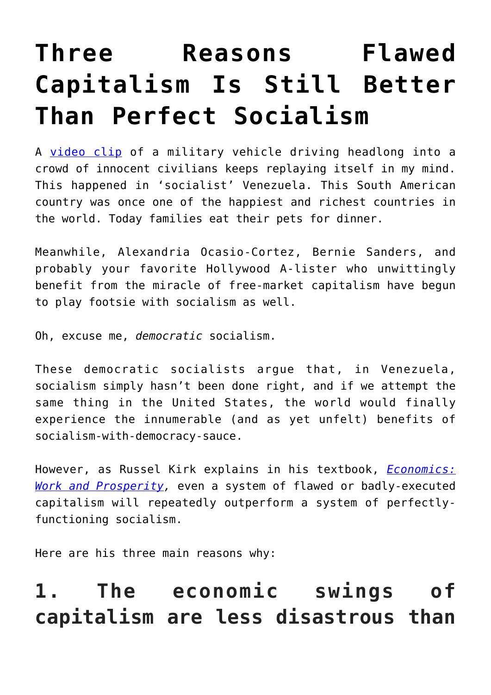# **[Three Reasons Flawed](https://intellectualtakeout.org/2019/05/three-reasons-flawed-capitalism-is-still-better-than-perfect-socialism/) [Capitalism Is Still Better](https://intellectualtakeout.org/2019/05/three-reasons-flawed-capitalism-is-still-better-than-perfect-socialism/) [Than Perfect Socialism](https://intellectualtakeout.org/2019/05/three-reasons-flawed-capitalism-is-still-better-than-perfect-socialism/)**

A [video clip](https://twitter.com/Conflicts/status/1123253026360307712) of a military vehicle driving headlong into a crowd of innocent civilians keeps replaying itself in my mind. This happened in 'socialist' Venezuela. This South American country was once one of the happiest and richest countries in the world. Today families eat their pets for dinner.

Meanwhile, Alexandria Ocasio-Cortez, Bernie Sanders, and probably your favorite Hollywood A-lister who unwittingly benefit from the miracle of free-market capitalism have begun to play footsie with socialism as well.

Oh, excuse me, *democratic* socialism.

These democratic socialists argue that, in Venezuela, socialism simply hasn't been done right, and if we attempt the same thing in the United States, the world would finally experience the innumerable (and as yet unfelt) benefits of socialism-with-democracy-sauce.

However, as Russel Kirk explains in his textbook, *[Economics:](https://www.amazon.com/gp/product/B0006R8KKO/ref=as_li_qf_asin_il_tl?ie=UTF8&tag=intelltakeo0d-20&creative=9325&linkCode=as2&creativeASIN=B0006R8KKO&linkId=853d7f51309024d7b6c36c541d6022ed) [Work and Prosperity,](https://www.amazon.com/gp/product/B0006R8KKO/ref=as_li_qf_asin_il_tl?ie=UTF8&tag=intelltakeo0d-20&creative=9325&linkCode=as2&creativeASIN=B0006R8KKO&linkId=853d7f51309024d7b6c36c541d6022ed)* even a system of flawed or badly-executed capitalism will repeatedly outperform a system of perfectlyfunctioning socialism.

Here are his three main reasons why:

# **1. The economic swings of capitalism are less disastrous than**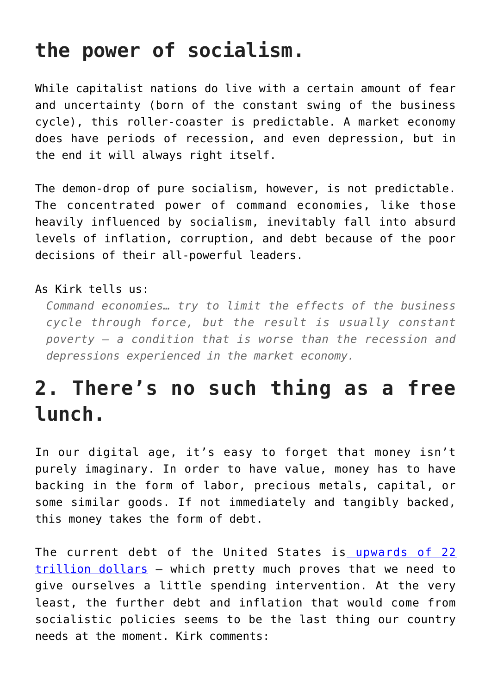### **the power of socialism.**

While capitalist nations do live with a certain amount of fear and uncertainty (born of the constant swing of the business cycle), this roller-coaster is predictable. A market economy does have periods of recession, and even depression, but in the end it will always right itself.

The demon-drop of pure socialism, however, is not predictable. The concentrated power of command economies, like those heavily influenced by socialism, inevitably fall into absurd levels of inflation, corruption, and debt because of the poor decisions of their all-powerful leaders.

#### As Kirk tells us:

*Command economies… try to limit the effects of the business cycle through force, but the result is usually constant poverty — a condition that is worse than the recession and depressions experienced in the market economy.*

# **2. There's no such thing as a free lunch.**

In our digital age, it's easy to forget that money isn't purely imaginary. In order to have value, money has to have backing in the form of labor, precious metals, capital, or some similar goods. If not immediately and tangibly backed, this money takes the form of debt.

The current debt of the United States is [upwards of 22](https://www.cnbc.com/2019/02/13/that-22-trillion-national-debt-number-is-huge-but-heres-what-it-really-means.html) [trillion dollars](https://www.cnbc.com/2019/02/13/that-22-trillion-national-debt-number-is-huge-but-heres-what-it-really-means.html) — which pretty much proves that we need to give ourselves a little spending intervention. At the very least, the further debt and inflation that would come from socialistic policies seems to be the last thing our country needs at the moment. Kirk comments: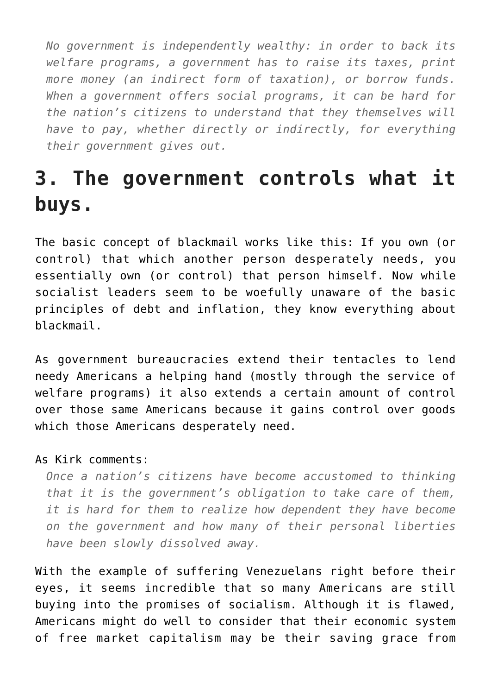*No government is independently wealthy: in order to back its welfare programs, a government has to raise its taxes, print more money (an indirect form of taxation), or borrow funds. When a government offers social programs, it can be hard for the nation's citizens to understand that they themselves will have to pay, whether directly or indirectly, for everything their government gives out.*

## **3. The government controls what it buys.**

The basic concept of blackmail works like this: If you own (or control) that which another person desperately needs, you essentially own (or control) that person himself. Now while socialist leaders seem to be woefully unaware of the basic principles of debt and inflation, they know everything about blackmail.

As government bureaucracies extend their tentacles to lend needy Americans a helping hand (mostly through the service of welfare programs) it also extends a certain amount of control over those same Americans because it gains control over goods which those Americans desperately need.

#### As Kirk comments:

*Once a nation's citizens have become accustomed to thinking that it is the government's obligation to take care of them, it is hard for them to realize how dependent they have become on the government and how many of their personal liberties have been slowly dissolved away.*

With the example of suffering Venezuelans right before their eyes, it seems incredible that so many Americans are still buying into the promises of socialism. Although it is flawed, Americans might do well to consider that their economic system of free market capitalism may be their saving grace from